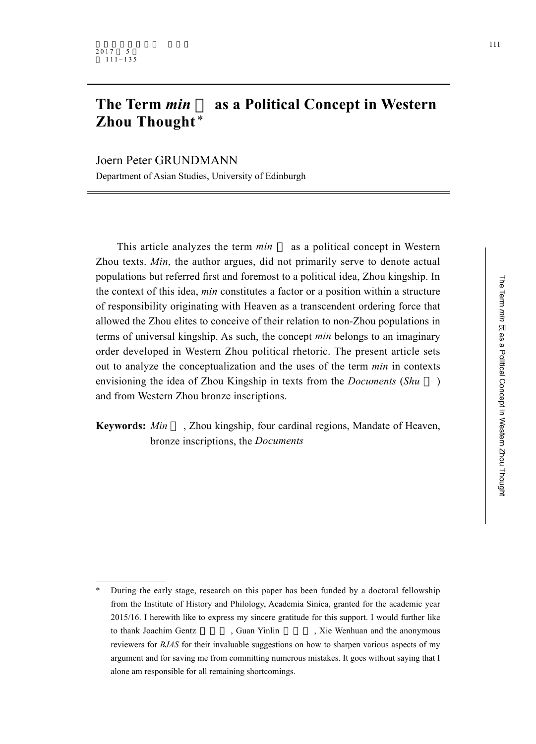# **The Term** *min* **as a Political Concept in Western Zhou Thought** \*

Joern Peter GRUNDMANN Department of Asian Studies, University of Edinburgh

This article analyzes the term *min* as a political concept in Western Zhou texts. *Min*, the author argues, did not primarily serve to denote actual populations but referred first and foremost to a political idea, Zhou kingship. In the context of this idea, *min* constitutes a factor or a position within a structure of responsibility originating with Heaven as a transcendent ordering force that allowed the Zhou elites to conceive of their relation to non-Zhou populations in terms of universal kingship. As such, the concept *min* belongs to an imaginary order developed in Western Zhou political rhetoric. The present article sets out to analyze the conceptualization and the uses of the term *min* in contexts envisioning the idea of Zhou Kingship in texts from the *Documents* (*Shu* ) and from Western Zhou bronze inscriptions.

**Keywords:** *Min* , Zhou kingship, four cardinal regions, Mandate of Heaven, bronze inscriptions, the *Documents*

<sup>\*</sup> During the early stage, research on this paper has been funded by a doctoral fellowship from the Institute of History and Philology, Academia Sinica, granted for the academic year 2015/16. I herewith like to express my sincere gratitude for this support. I would further like to thank Joachim Gentz , Guan Yinlin , Xie Wenhuan and the anonymous reviewers for *BJAS* for their invaluable suggestions on how to sharpen various aspects of my argument and for saving me from committing numerous mistakes. It goes without saying that I alone am responsible for all remaining shortcomings.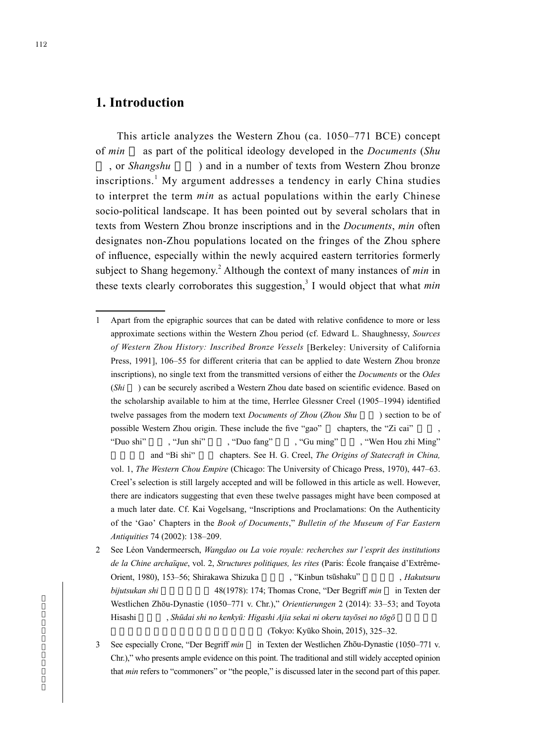## **1. Introduction**

This article analyzes the Western Zhou (ca. 1050–771 BCE) concept of *min* as part of the political ideology developed in the *Documents* (*Shu* or *Shangshu* and in a number of texts from Western Zhou bronze inscriptions.<sup>1</sup> My argument addresses a tendency in early China studies to interpret the term *min* as actual populations within the early Chinese socio-political landscape. It has been pointed out by several scholars that in texts from Western Zhou bronze inscriptions and in the *Documents*, *min* often designates non-Zhou populations located on the fringes of the Zhou sphere of influence, especially within the newly acquired eastern territories formerly subject to Shang hegemony.<sup>2</sup> Although the context of many instances of *min* in these texts clearly corroborates this suggestion,<sup>3</sup> I would object that what *min* 

1 Apart from the epigraphic sources that can be dated with relative confidence to more or less approximate sections within the Western Zhou period (cf. Edward L. Shaughnessy, *Sources of Western Zhou History: Inscribed Bronze Vessels* [Berkeley: University of California Press, 1991], 106–55 for different criteria that can be applied to date Western Zhou bronze inscriptions), no single text from the transmitted versions of either the *Documents* or the *Odes* (*Shi* ) can be securely ascribed a Western Zhou date based on scientific evidence. Based on the scholarship available to him at the time, Herrlee Glessner Creel (1905–1994) identified twelve passages from the modern text *Documents of Zhou (Zhou Shu*) section to be of possible Western Zhou origin. These include the five "gao" chapters, the "Zi cai" "Duo shi" , "Jun shi" , "Duo fang" , "Gu ming" , "Wen Hou zhi Ming" and "Bi shi" chapters. See H. G. Creel, *The Origins of Statecraft in China*, vol. 1, *The Western Chou Empire* (Chicago: The University of Chicago Press, 1970), 447–63. Creel's selection is still largely accepted and will be followed in this article as well. However, there are indicators suggesting that even these twelve passages might have been composed at a much later date. Cf. Kai Vogelsang, "Inscriptions and Proclamations: On the Authenticity of the 'Gao' Chapters in the *Book of Documents*," *Bulletin of the Museum of Far Eastern Antiquities* 74 (2002): 138–209.

2 See Léon Vandermeersch, *Wangdao ou La voie royale: recherches sur l'esprit des institutions de la Chine archaïque*, vol. 2, *Structures politiques, les rites* (Paris: École française d'Extrême-Orient, 1980), 153-56; Shirakawa Shizuka , "Kinbun tsūshaku" , *Hakutsuru bijutsukan shi* 48(1978): 174; Thomas Crone, "Der Begriff *min* in Texten der Westlichen Zhōu-Dynastie (1050–771 v. Chr.)," *Orientierungen* 2 (2014): 33–53; and Toyota Hisashi ,*Shūdai shi no kenkyū: Higashi Ajia sekai ni okeru tayōsei no tōgō* 

(Tokyo: Kyūko Shoin, 2015), 325–32.

3 See especially Crone, "Der Begriff *min* in Texten der Westlichen Zhōu-Dynastie (1050–771 v. Chr.)," who presents ample evidence on this point. The traditional and still widely accepted opinion that *min* refers to "commoners" or "the people," is discussed later in the second part of this paper.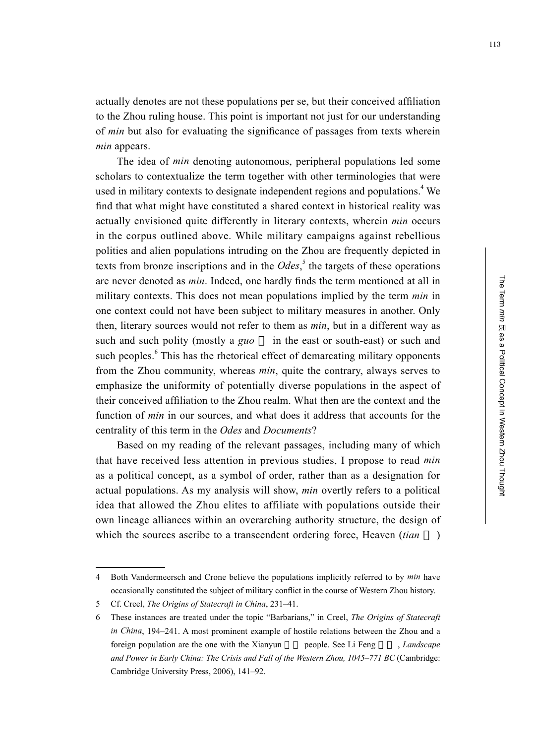actually denotes are not these populations per se, but their conceived affiliation to the Zhou ruling house. This point is important not just for our understanding of *min* but also for evaluating the significance of passages from texts wherein *min* appears.

The idea of *min* denoting autonomous, peripheral populations led some scholars to contextualize the term together with other terminologies that were used in military contexts to designate independent regions and populations.<sup>4</sup> We find that what might have constituted a shared context in historical reality was actually envisioned quite differently in literary contexts, wherein *min* occurs in the corpus outlined above. While military campaigns against rebellious polities and alien populations intruding on the Zhou are frequently depicted in texts from bronze inscriptions and in the  $Odes$ , the targets of these operations are never denoted as *min*. Indeed, one hardly finds the term mentioned at all in military contexts. This does not mean populations implied by the term *min* in one context could not have been subject to military measures in another. Only then, literary sources would not refer to them as *min*, but in a different way as such and such polity (mostly a *guo* in the east or south-east) or such and such peoples.<sup>6</sup> This has the rhetorical effect of demarcating military opponents from the Zhou community, whereas *min*, quite the contrary, always serves to emphasize the uniformity of potentially diverse populations in the aspect of their conceived affiliation to the Zhou realm. What then are the context and the function of *min* in our sources, and what does it address that accounts for the centrality of this term in the *Odes* and *Documents*?

Based on my reading of the relevant passages, including many of which that have received less attention in previous studies, I propose to read *min* as a political concept, as a symbol of order, rather than as a designation for actual populations. As my analysis will show, *min* overtly refers to a political idea that allowed the Zhou elites to affiliate with populations outside their own lineage alliances within an overarching authority structure, the design of which the sources ascribe to a transcendent ordering force, Heaven *(tian*)

<sup>4</sup> Both Vandermeersch and Crone believe the populations implicitly referred to by *min* have occasionally constituted the subject of military conflict in the course of Western Zhou history.

<sup>5</sup> Cf. Creel, *The Origins of Statecraft in China*, 231–41.

<sup>6</sup> These instances are treated under the topic "Barbarians," in Creel, *The Origins of Statecraft in China*, 194–241. A most prominent example of hostile relations between the Zhou and a foreign population are the one with the Xianyun people. See Li Feng , *Landscape and Power in Early China: The Crisis and Fall of the Western Zhou, 1045–771 BC* (Cambridge: Cambridge University Press, 2006), 141–92.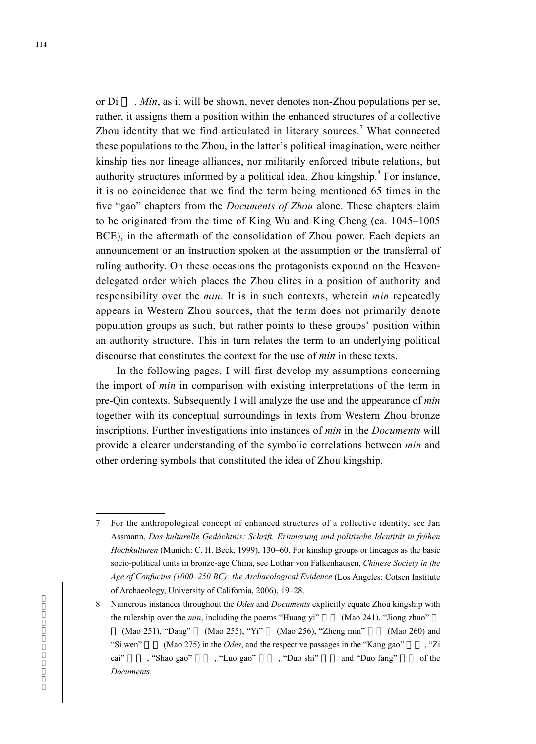or Di . *Min*, as it will be shown, never denotes non-Zhou populations per se, rather, it assigns them a position within the enhanced structures of a collective Zhou identity that we find articulated in literary sources.<sup>7</sup> What connected these populations to the Zhou, in the latter's political imagination, were neither kinship ties nor lineage alliances, nor militarily enforced tribute relations, but authority structures informed by a political idea, Zhou kingship.<sup>8</sup> For instance, it is no coincidence that we find the term being mentioned 65 times in the five "gao" chapters from the *Documents of Zhou* alone. These chapters claim to be originated from the time of King Wu and King Cheng (ca. 1045–1005 BCE), in the aftermath of the consolidation of Zhou power. Each depicts an announcement or an instruction spoken at the assumption or the transferral of ruling authority. On these occasions the protagonists expound on the Heavendelegated order which places the Zhou elites in a position of authority and responsibility over the *min*. It is in such contexts, wherein *min* repeatedly appears in Western Zhou sources, that the term does not primarily denote population groups as such, but rather points to these groups' position within an authority structure. This in turn relates the term to an underlying political discourse that constitutes the context for the use of *min* in these texts.

In the following pages, I will first develop my assumptions concerning the import of *min* in comparison with existing interpretations of the term in pre-Qin contexts. Subsequently I will analyze the use and the appearance of *min* together with its conceptual surroundings in texts from Western Zhou bronze inscriptions. Further investigations into instances of *min* in the *Documents* will provide a clearer understanding of the symbolic correlations between *min* and other ordering symbols that constituted the idea of Zhou kingship.

<sup>7</sup> For the anthropological concept of enhanced structures of a collective identity, see Jan Assmann, *Das kulturelle Gedächtnis: Schrift, Erinnerung und politische Identität in frühen Hochkulturen* (Munich: C. H. Beck, 1999), 130–60. For kinship groups or lineages as the basic socio-political units in bronze-age China, see Lothar von Falkenhausen, *Chinese Society in the Age of Confucius (1000–250 BC): the Archaeological Evidence* (Los Angeles: Cotsen Institute of Archaeology, University of California, 2006), 19–28.

<sup>8</sup> Numerous instances throughout the *Odes* and *Documents* explicitly equate Zhou kingship with the rulership over the *min*, including the poems "Huang yi" (Mao 241), "Jiong zhuo"

 $(Mao 251)$ , "Dang"  $(Mao 255)$ , "Yi"  $(Mao 256)$ , "Zheng min"  $(Mao 260)$  and "Si wen" (Mao 275) in the *Odes*, and the respective passages in the "Kang gao", "Zi cai" , "Shao gao" , "Luo gao" , "Duo shi" and "Duo fang" of the *Documents*.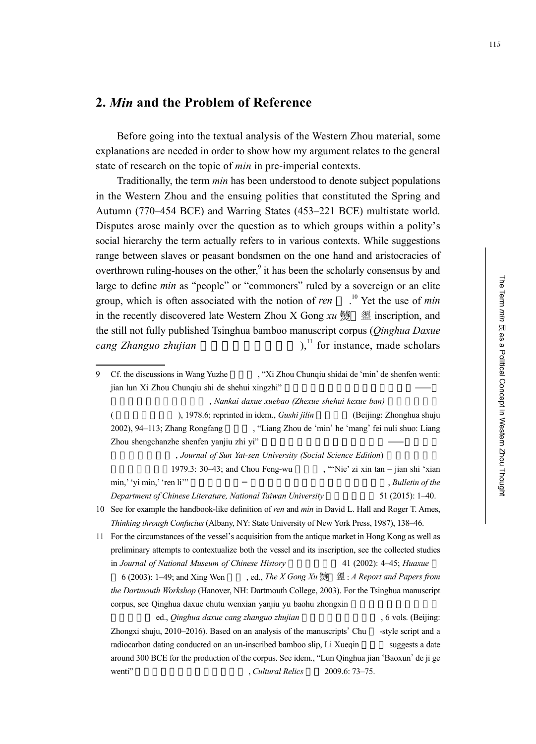# **2.** *Min* **and the Problem of Reference**

Before going into the textual analysis of the Western Zhou material, some explanations are needed in order to show how my argument relates to the general state of research on the topic of *min* in pre-imperial contexts.

Traditionally, the term *min* has been understood to denote subject populations in the Western Zhou and the ensuing polities that constituted the Spring and Autumn (770–454 BCE) and Warring States (453–221 BCE) multistate world. Disputes arose mainly over the question as to which groups within a polity's social hierarchy the term actually refers to in various contexts. While suggestions range between slaves or peasant bondsmen on the one hand and aristocracies of overthrown ruling-houses on the other,<sup>9</sup> it has been the scholarly consensus by and large to define *min* as "people" or "commoners" ruled by a sovereign or an elite group, which is often associated with the notion of *ren* . 10 Yet the use of *min* in the recently discovered late Western Zhou X Gong *xu* 燙 盨 inscription, and the still not fully published Tsinghua bamboo manuscript corpus (*Qinghua Daxue cang Zhanguo zhujian* (a),<sup>11</sup> for instance, made scholars

, *Nankai daxue xuebao (Zhexue shehui kexue ban)* 

(  $($ ), 1978.6; reprinted in idem., *Gushi jilin* (Beijing: Zhonghua shuju 2002), 94–113; Zhang Rongfang ("Liang Zhou de 'min' he 'mang' fei nuli shuo: Liang Zhou shengchanzhe shenfen yanjiu zhi yi"

, Journal of Sun Yat-sen University (Social Science Edition)

1979.3: 30–43; and Chou Feng-wu , "'Nie' zi xin tan – jian shi 'xian min,' 'yi min,' 'ren li'" 
<sub>n</sub> Bulletin of the <sup>M</sup><sub>2</sub>, Bulletin of the <sup>1</sup> *Department of Chinese Literature, National Taiwan University* 51 (2015): 1–40. 10 See for example the handbook-like definition of *ren* and *min* in David L. Hall and Roger T. Ames,

*Thinking through Confucius* (Albany, NY: State University of New York Press, 1987), 138–46.

11 For the circumstances of the vessel's acquisition from the antique market in Hong Kong as well as preliminary attempts to contextualize both the vessel and its inscription, see the collected studies in *Journal of National Museum of Chinese History* 41 (2002): 4–45; *Huaxue* 

 6 (2003): 1–49; and Xing Wen 邢文 , ed., *The X Gong Xu* 盨 : *A Report and Papers from the Dartmouth Workshop* (Hanover, NH: Dartmouth College, 2003). For the Tsinghua manuscript corpus, see Qinghua daxue chutu wenxian yanjiu yu baohu zhongxin

ed., *Qinghua daxue cang zhanguo zhujian* , 6 vols. (Beijing: Zhongxi shuju, 2010–2016). Based on an analysis of the manuscripts' Chu -style script and a radiocarbon dating conducted on an un-inscribed bamboo slip, Li Xueqin suggests a date around 300 BCE for the production of the corpus. See idem., "Lun Qinghua jian 'Baoxun' de ji ge wenti"  $\frac{Cultural \, Relics}{2009.6: 73-75.}$ 

Cf. the discussions in Wang Yuzhe **The Step and Step and Step Step in Step 3** and Step shenfen wenti: jian lun Xi Zhou Chunqiu shi de shehui xingzhi"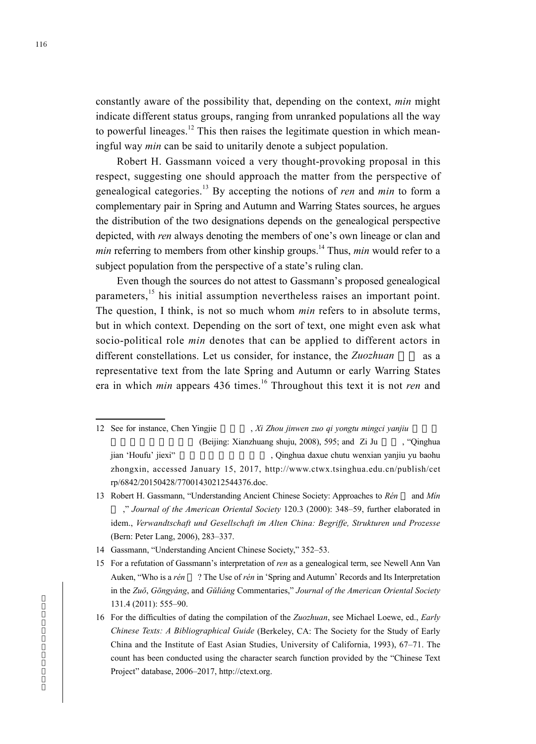constantly aware of the possibility that, depending on the context, *min* might indicate different status groups, ranging from unranked populations all the way to powerful lineages.<sup>12</sup> This then raises the legitimate question in which meaningful way *min* can be said to unitarily denote a subject population.

Robert H. Gassmann voiced a very thought-provoking proposal in this respect, suggesting one should approach the matter from the perspective of genealogical categories.13 By accepting the notions of *ren* and *min* to form a complementary pair in Spring and Autumn and Warring States sources, he argues the distribution of the two designations depends on the genealogical perspective depicted, with *ren* always denoting the members of one's own lineage or clan and *min* referring to members from other kinship groups.<sup>14</sup> Thus, *min* would refer to a subject population from the perspective of a state's ruling clan.

Even though the sources do not attest to Gassmann's proposed genealogical parameters,<sup>15</sup> his initial assumption nevertheless raises an important point. The question, I think, is not so much whom *min* refers to in absolute terms, but in which context. Depending on the sort of text, one might even ask what socio-political role *min* denotes that can be applied to different actors in different constellations. Let us consider, for instance, the *Zuozhuan* as a representative text from the late Spring and Autumn or early Warring States era in which *min* appears 436 times.<sup>16</sup> Throughout this text it is not *ren* and

- 12 See for instance, Chen Yingjie , *Xi Zhou jinwen zuo qi yongtu mingci yanjiu* (Beijing: Xianzhuang shuju, 2008), 595; and Zi Ju , "Qinghua jian 'Houfu' jiexi" 清 華 簡〈 厚 父 〉 解 析 , Qinghua daxue chutu wenxian yanjiu yu baohu zhongxin, accessed January 15, 2017, http://www.ctwx.tsinghua.edu.cn/publish/cet rp/6842/20150428/77001430212544376.doc.
- 13 Robert H. Gassmann, "Understanding Ancient Chinese Society: Approaches to *Rén* and *Mín* ," *Journal of the American Oriental Society* 120.3 (2000): 348–59, further elaborated in idem., *Verwandtschaft und Gesellschaft im Alten China: Begriffe, Strukturen und Prozesse* (Bern: Peter Lang, 2006), 283–337.
- 14 Gassmann, "Understanding Ancient Chinese Society," 352–53.
- 15 For a refutation of Gassmann's interpretation of *ren* as a genealogical term, see Newell Ann Van Auken, "Who is a *rén* ? The Use of *rén* in 'Spring and Autumn' Records and Its Interpretation in the *Zuŏ*, *Gōngyáng*, and *Gŭliáng* Commentaries," *Journal of the American Oriental Society* 131.4 (2011): 555–90.
- 16 For the difficulties of dating the compilation of the *Zuozhuan*, see Michael Loewe, ed., *Early Chinese Texts: A Bibliographical Guide* (Berkeley, CA: The Society for the Study of Early China and the Institute of East Asian Studies, University of California, 1993), 67–71. The count has been conducted using the character search function provided by the "Chinese Text Project" database, 2006–2017, http://ctext.org.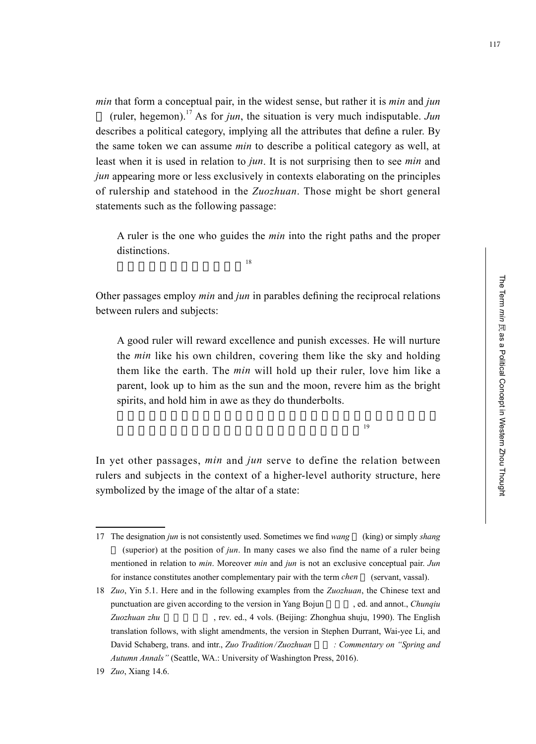*min* that form a conceptual pair, in the widest sense, but rather it is *min* and *jun* (ruler, hegemon).<sup>17</sup> As for *jun*, the situation is very much indisputable. *Jun* describes a political category, implying all the attributes that define a ruler. By the same token we can assume *min* to describe a political category as well, at least when it is used in relation to *jun*. It is not surprising then to see *min* and *jun* appearing more or less exclusively in contexts elaborating on the principles of rulership and statehood in the *Zuozhuan*. Those might be short general statements such as the following passage:

A ruler is the one who guides the *min* into the right paths and the proper distinctions.

 $\frac{18}{18}$ 

Other passages employ *min* and *jun* in parables defining the reciprocal relations between rulers and subjects:

A good ruler will reward excellence and punish excesses. He will nurture the *min* like his own children, covering them like the sky and holding them like the earth. The *min* will hold up their ruler, love him like a parent, look up to him as the sun and the moon, revere him as the bright spirits, and hold him in awe as they do thunderbolts.

 $19$ 

In yet other passages, *min* and *jun* serve to define the relation between rulers and subjects in the context of a higher-level authority structure, here symbolized by the image of the altar of a state:

<sup>17</sup> The designation *jun* is not consistently used. Sometimes we find *wang* (king) or simply *shang* (superior) at the position of *jun*. In many cases we also find the name of a ruler being mentioned in relation to *min*. Moreover *min* and *jun* is not an exclusive conceptual pair. *Jun* for instance constitutes another complementary pair with the term *chen* (servant, vassal).

<sup>18</sup> *Zuo*, Yin 5.1. Here and in the following examples from the *Zuozhuan*, the Chinese text and punctuation are given according to the version in Yang Bojun ed. and annot., *Chunqiu* Zuozhuan zhu **berenn zhu**, rev. ed., 4 vols. (Beijing: Zhonghua shuju, 1990). The English translation follows, with slight amendments, the version in Stephen Durrant, Wai-yee Li, and David Schaberg, trans. and intr., *Zuo Tradition/Zuozhuan : Commentary on "Spring and Autumn Annals"* (Seattle, WA.: University of Washington Press, 2016).

<sup>19</sup> *Zuo*, Xiang 14.6.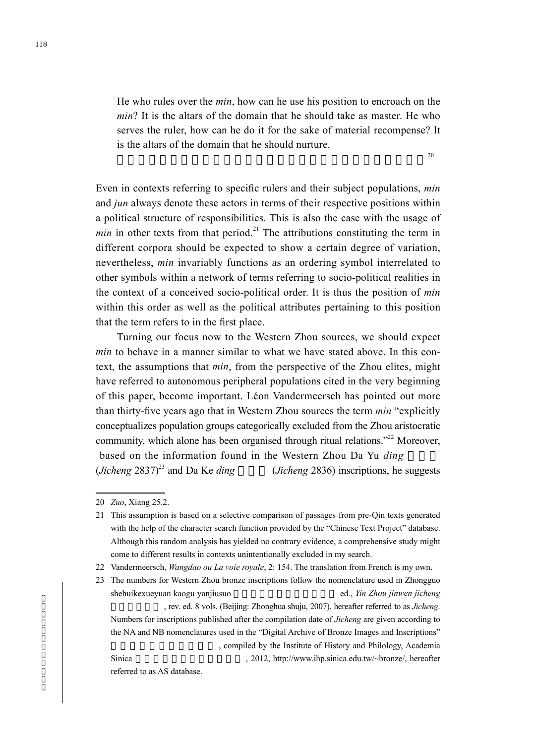He who rules over the *min*, how can he use his position to encroach on the *min*? It is the altars of the domain that he should take as master. He who serves the ruler, how can he do it for the sake of material recompense? It is the altars of the domain that he should nurture.

 $20$ 

Even in contexts referring to specific rulers and their subject populations, *min* and *jun* always denote these actors in terms of their respective positions within a political structure of responsibilities. This is also the case with the usage of *min* in other texts from that period.<sup>21</sup> The attributions constituting the term in different corpora should be expected to show a certain degree of variation, nevertheless, *min* invariably functions as an ordering symbol interrelated to other symbols within a network of terms referring to socio-political realities in the context of a conceived socio-political order. It is thus the position of *min* within this order as well as the political attributes pertaining to this position that the term refers to in the first place.

Turning our focus now to the Western Zhou sources, we should expect *min* to behave in a manner similar to what we have stated above. In this context, the assumptions that *min*, from the perspective of the Zhou elites, might have referred to autonomous peripheral populations cited in the very beginning of this paper, become important. Léon Vandermeersch has pointed out more than thirty-five years ago that in Western Zhou sources the term *min* "explicitly conceptualizes population groups categorically excluded from the Zhou aristocratic community, which alone has been organised through ritual relations."<sup>22</sup> Moreover, based on the information found in the Western Zhou Da Yu ding  $(Jicheng 2837)^{23}$  and Da Ke *ding* (*Jicheng* 2836) inscriptions, he suggests

Sinica and the state of the state  $\frac{1}{2012}$ , http://www.ihp.sinica.edu.tw/~bronze/, hereafter

referred to as AS database.

<sup>20</sup> *Zuo*, Xiang 25.2.

<sup>21</sup> This assumption is based on a selective comparison of passages from pre-Qin texts generated with the help of the character search function provided by the "Chinese Text Project" database. Although this random analysis has yielded no contrary evidence, a comprehensive study might come to different results in contexts unintentionally excluded in my search.

<sup>22</sup> Vandermeersch, *Wangdao ou La voie royale*, 2: 154. The translation from French is my own.

<sup>23</sup> The numbers for Western Zhou bronze inscriptions follow the nomenclature used in Zhongguo shehuikexueyuan kaogu yanjiusuo **harafaffaan arabasharka karafaffaan ed.**, *Yin Zhou jinwen jicheng* 殷周金文集成 , rev. ed. 8 vols. (Beijing: Zhonghua shuju, 2007), hereafter referred to as *Jicheng*. Numbers for inscriptions published after the compilation date of *Jicheng* are given according to the NA and NB nomenclatures used in the "Digital Archive of Bronze Images and Inscriptions" , compiled by the Institute of History and Philology, Academia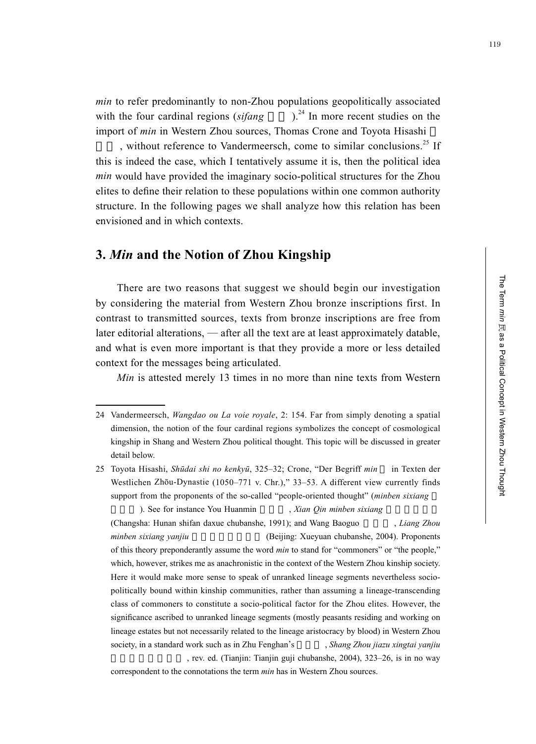The Term min 民 as a Political Concept in Western Zhou Thought

as a Political Concept in Western Zhou Thought

The Term

*min* to refer predominantly to non-Zhou populations geopolitically associated with the four cardinal regions  $(sifang)$ <sup>24</sup> In more recent studies on the import of *min* in Western Zhou sources, Thomas Crone and Toyota Hisashi

, without reference to Vandermeersch, come to similar conclusions.<sup>25</sup> If this is indeed the case, which I tentatively assume it is, then the political idea *min* would have provided the imaginary socio-political structures for the Zhou elites to define their relation to these populations within one common authority structure. In the following pages we shall analyze how this relation has been envisioned and in which contexts.

#### **3.** *Min* **and the Notion of Zhou Kingship**

There are two reasons that suggest we should begin our investigation by considering the material from Western Zhou bronze inscriptions first. In contrast to transmitted sources, texts from bronze inscriptions are free from later editorial alterations, — after all the text are at least approximately datable, and what is even more important is that they provide a more or less detailed context for the messages being articulated.

*Min* is attested merely 13 times in no more than nine texts from Western

). See for instance You Huanmin , *Xian Qin minben sixiang* 

(Changsha: Hunan shifan daxue chubanshe, 1991); and Wang Baoguo , *Liang Zhou minben sixiang yanjiu* 兩周民本思想研究 (Beijing: Xueyuan chubanshe, 2004). Proponents of this theory preponderantly assume the word *min* to stand for "commoners" or "the people," which, however, strikes me as anachronistic in the context of the Western Zhou kinship society. Here it would make more sense to speak of unranked lineage segments nevertheless sociopolitically bound within kinship communities, rather than assuming a lineage-transcending class of commoners to constitute a socio-political factor for the Zhou elites. However, the significance ascribed to unranked lineage segments (mostly peasants residing and working on lineage estates but not necessarily related to the lineage aristocracy by blood) in Western Zhou society, in a standard work such as in Zhu Fenghan's Shang Zhou jiazu xingtai yanjiu , rev. ed. (Tianjin: Tianjin guji chubanshe, 2004), 323–26, is in no way

correspondent to the connotations the term *min* has in Western Zhou sources.

<sup>24</sup> Vandermeersch, *Wangdao ou La voie royale*, 2: 154. Far from simply denoting a spatial dimension, the notion of the four cardinal regions symbolizes the concept of cosmological kingship in Shang and Western Zhou political thought. This topic will be discussed in greater detail below.

<sup>25</sup> Toyota Hisashi, *Shūdai shi no kenkyū*, 325–32; Crone, "Der Begriff *min* in Texten der Westlichen Zhōu-Dynastie (1050–771 v. Chr.)," 33–53. A different view currently finds support from the proponents of the so-called "people-oriented thought" (*minben sixiang*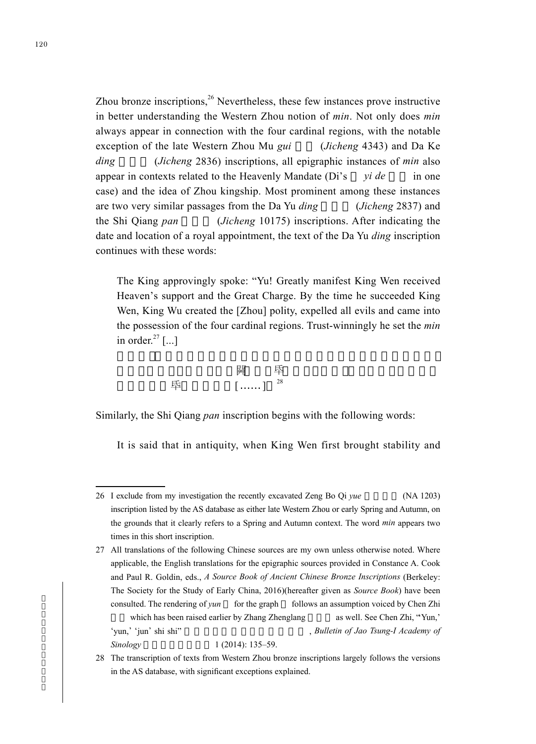Zhou bronze inscriptions.<sup>26</sup> Nevertheless, these few instances prove instructive in better understanding the Western Zhou notion of *min*. Not only does *min* always appear in connection with the four cardinal regions, with the notable exception of the late Western Zhou Mu *gui* (*Jicheng* 4343) and Da Ke *ding* (*Jicheng* 2836) inscriptions, all epigraphic instances of *min* also appear in contexts related to the Heavenly Mandate (Di's *yi de* in one case) and the idea of Zhou kingship. Most prominent among these instances are two very similar passages from the Da Yu *ding* (*Jicheng* 2837) and the Shi Qiang *pan* (*Jicheng* 10175) inscriptions. After indicating the date and location of a royal appointment, the text of the Da Yu *ding* inscription continues with these words:

The King approvingly spoke: "Yu! Greatly manifest King Wen received Heaven's support and the Great Charge. By the time he succeeded King Wen, King Wu created the [Zhou] polity, expelled all evils and came into the possession of the four cardinal regions. Trust-winningly he set the *min* in order. $^{27}$  [...]

|                          | hinir<br>$\overline{\phantom{a}}$                              |  |
|--------------------------|----------------------------------------------------------------|--|
| $\overline{\phantom{a}}$ | $\angle 8$<br><b>CONTINUES</b><br><b>Contract Teams</b><br>. 1 |  |

Similarly, the Shi Qiang *pan* inscription begins with the following words:

It is said that in antiquity, when King Wen first brought stability and

<sup>26</sup> I exclude from my investigation the recently excavated Zeng Bo Qi yue (NA 1203) inscription listed by the AS database as either late Western Zhou or early Spring and Autumn, on the grounds that it clearly refers to a Spring and Autumn context. The word *min* appears two times in this short inscription.

<sup>27</sup> All translations of the following Chinese sources are my own unless otherwise noted. Where applicable, the English translations for the epigraphic sources provided in Constance A. Cook and Paul R. Goldin, eds., *A Source Book of Ancient Chinese Bronze Inscriptions* (Berkeley: The Society for the Study of Early China, 2016)(hereafter given as *Source Book*) have been consulted. The rendering of *yun* for the graph follows an assumption voiced by Chen Zhi which has been raised earlier by Zhang Zhenglang as well. See Chen Zhi, "Yun," 'yun,' 'jun' shi shi" 「允」、「」、「畯」試釋 , *Bulletin of Jao Tsung-I Academy of Sinology* 1 (2014): 135–59.

<sup>28</sup> The transcription of texts from Western Zhou bronze inscriptions largely follows the versions in the AS database, with significant exceptions explained.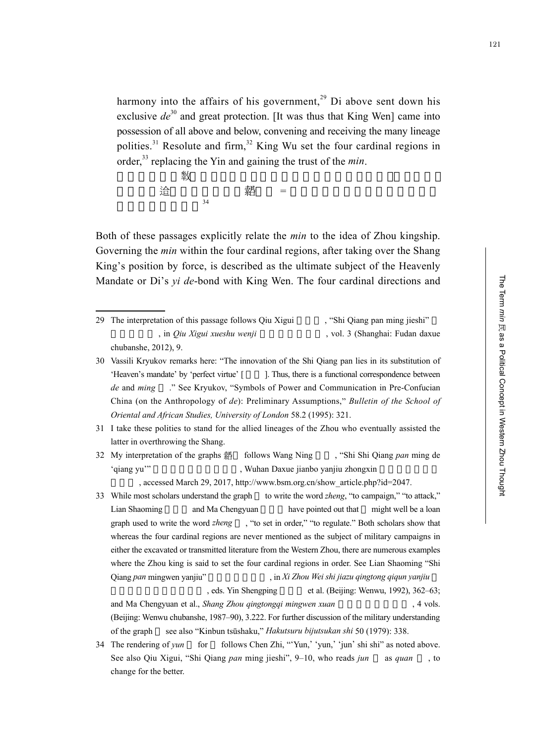harmony into the affairs of his government,<sup>29</sup> Di above sent down his exclusive  $de^{30}$  and great protection. [It was thus that King Wen] came into possession of all above and below, convening and receiving the many lineage polities.<sup>31</sup> Resolute and firm,<sup>32</sup> King Wu set the four cardinal regions in order,33 replacing the Yin and gaining the trust of the *min*.

 $\hat{z}$ 教, 上帝降懿(馬)。 【元】于政, 上帝降懿(馬)。  $\hat{p}$  and  $\hat{p}$  and  $\hat{p}$  and  $\hat{p}$  and  $\hat{p}$  and  $\hat{p}$  and  $\hat{p}$  and  $\hat{p}$  and  $\hat{p}$  and  $\hat{p}$  and  $\hat{p}$  and  $\hat{p}$  and  $\hat{p}$  and  $\hat{p}$  and  $\hat{p}$  and  $\hat{p}$  and  $\hat{p}$  and  $\hat{p}$  and  $\hat{$  $\frac{34}{\pi}$ 

Both of these passages explicitly relate the *min* to the idea of Zhou kingship. Governing the *min* within the four cardinal regions, after taking over the Shang King's position by force, is described as the ultimate subject of the Heavenly Mandate or Di's *yi de*-bond with King Wen. The four cardinal directions and

29 The interpretation of this passage follows Qiu Xigui , "Shi Qiang pan ming jieshi" , in *Qiu Xigui xueshu wenji* , vol. 3 (Shanghai: Fudan daxue chubanshe, 2012), 9.

30 Vassili Kryukov remarks here: "The innovation of the Shi Qiang pan lies in its substitution of 'Heaven's mandate' by 'perfect virtue' [  $\qquad$  ]. Thus, there is a functional correspondence between *de* and *ming* ." See Kryukov, "Symbols of Power and Communication in Pre-Confucian China (on the Anthropology of *de*): Preliminary Assumptions," *Bulletin of the School of Oriental and African Studies, University of London* 58.2 (1995): 321.

- 31 I take these polities to stand for the allied lineages of the Zhou who eventually assisted the latter in overthrowing the Shang.
- 32 My interpretation of the graphs 黏 follows Wang Ning , "Shi Shi Qiang *pan* ming de 'qiang yu'" 
Wuhan Daxue jianbo yanjiu zhongxin 
, Wuhan Daxue jianbo yanjiu zhongxin

, accessed March 29, 2017, http://www.bsm.org.cn/show\_article.php?id=2047.

33 While most scholars understand the graph to write the word *zheng*, "to campaign," "to attack," Lian Shaoming and Ma Chengyuan have pointed out that might well be a loan graph used to write the word *zheng* , "to set in order," "to regulate." Both scholars show that whereas the four cardinal regions are never mentioned as the subject of military campaigns in either the excavated or transmitted literature from the Western Zhou, there are numerous examples where the Zhou king is said to set the four cardinal regions in order. See Lian Shaoming "Shi Qiang *pan* mingwen yanjiu" , in *Xi Zhou Wei shi jiazu qingtong qiqun yanjiu* 

, eds. Yin Shengping et al. (Beijing: Wenwu, 1992), 362–63; and Ma Chengyuan et al., *Shang Zhou qingtongqi mingwen xuan* , 4 vols. (Beijing: Wenwu chubanshe, 1987–90), 3.222. For further discussion of the military understanding of the graph see also "Kinbun tsūshaku," *Hakutsuru bijutsukan shi* 50 (1979): 338.

34 The rendering of *yun* for follows Chen Zhi, "'Yun,' 'yun,' 'jun' shi shi" as noted above. See also Qiu Xigui, "Shi Qiang *pan* ming jieshi", 9–10, who reads *jun* as *quan* , to change for the better.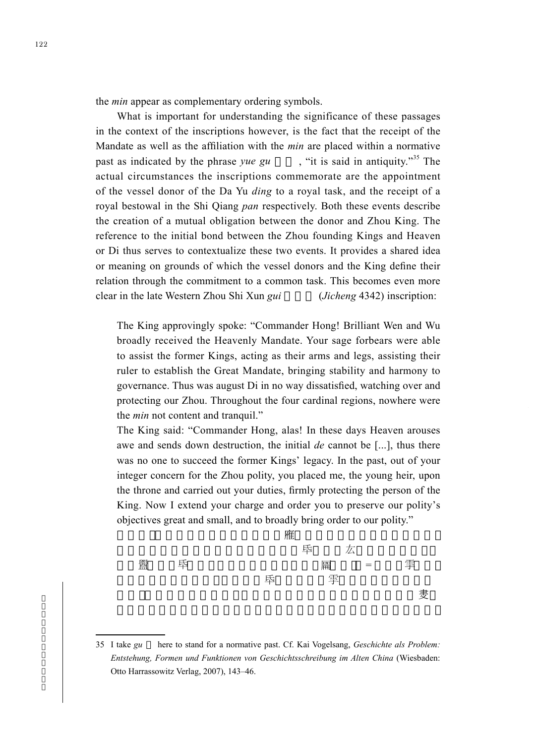the *min* appear as complementary ordering symbols.

What is important for understanding the significance of these passages in the context of the inscriptions however, is the fact that the receipt of the Mandate as well as the affiliation with the *min* are placed within a normative past as indicated by the phrase *yue gu* "it is said in antiquity."<sup>35</sup> The actual circumstances the inscriptions commemorate are the appointment of the vessel donor of the Da Yu *ding* to a royal task, and the receipt of a royal bestowal in the Shi Qiang *pan* respectively. Both these events describe the creation of a mutual obligation between the donor and Zhou King. The reference to the initial bond between the Zhou founding Kings and Heaven or Di thus serves to contextualize these two events. It provides a shared idea or meaning on grounds of which the vessel donors and the King define their relation through the commitment to a common task. This becomes even more clear in the late Western Zhou Shi Xun *gui* (*Jicheng* 4342) inscription:

The King approvingly spoke: "Commander Hong! Brilliant Wen and Wu broadly received the Heavenly Mandate. Your sage forbears were able to assist the former Kings, acting as their arms and legs, assisting their ruler to establish the Great Mandate, bringing stability and harmony to governance. Thus was august Di in no way dissatisfied, watching over and protecting our Zhou. Throughout the four cardinal regions, nowhere were the *min* not content and tranquil."

The King said: "Commander Hong, alas! In these days Heaven arouses awe and sends down destruction, the initial *de* cannot be [...], thus there was no one to succeed the former Kings' legacy. In the past, out of your integer concern for the Zhou polity, you placed me, the young heir, upon the throne and carried out your duties, firmly protecting the person of the King. Now I extend your charge and order you to preserve our polity's objectives great and small, and to broadly bring order to our polity."



<sup>35</sup> I take *gu* here to stand for a normative past. Cf. Kai Vogelsang, *Geschichte als Problem: Entstehung, Formen und Funktionen von Geschichtsschreibung im Alten China* (Wiesbaden: Otto Harrassowitz Verlag, 2007), 143–46.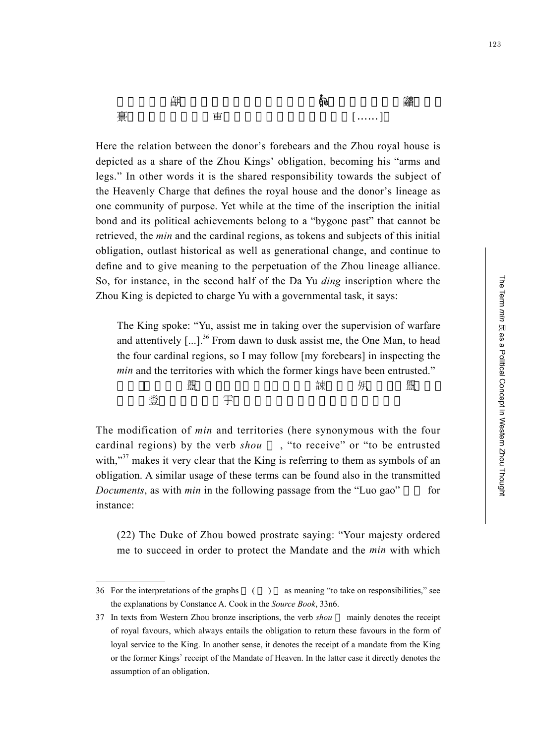Here the relation between the donor's forebears and the Zhou royal house is depicted as a share of the Zhou Kings' obligation, becoming his "arms and legs." In other words it is the shared responsibility towards the subject of the Heavenly Charge that defines the royal house and the donor's lineage as one community of purpose. Yet while at the time of the inscription the initial bond and its political achievements belong to a "bygone past" that cannot be retrieved, the *min* and the cardinal regions, as tokens and subjects of this initial obligation, outlast historical as well as generational change, and continue to define and to give meaning to the perpetuation of the Zhou lineage alliance. So, for instance, in the second half of the Da Yu *ding* inscription where the Zhou King is depicted to charge Yu with a governmental task, it says:

再<br>第十五十九章, [……]

The King spoke: "Yu, assist me in taking over the supervision of warfare and attentively  $\left[\ldots\right]$ <sup>36</sup>. From dawn to dusk assist me, the One Man, to head the four cardinal regions, so I may follow [my forebears] in inspecting the *min* and the territories with which the former kings have been entrusted." うちょう はんじょう まいこう まいこう まんじょう (観) はんじょう こうしょう まんこう まんこう (観) はんこうしょう にんしょう はんこうしょう (観) はんこうしょう さん さんこう こうしょう まんこう こうしょう きょうかい こうしょう きょうかい こうしょう こうしょう こうしょう こうしょう こうしょう こうしょう こうしょう

The modification of *min* and territories (here synonymous with the four cardinal regions) by the verb *shou* , "to receive" or "to be entrusted with,"<sup>37</sup> makes it very clear that the King is referring to them as symbols of an obligation. A similar usage of these terms can be found also in the transmitted *Documents*, as with *min* in the following passage from the "Luo gao" for instance:

(22) The Duke of Zhou bowed prostrate saying: "Your majesty ordered me to succeed in order to protect the Mandate and the *min* with which 123

<sup>36</sup> For the interpretations of the graphs ( ) as meaning "to take on responsibilities," see the explanations by Constance A. Cook in the *Source Book*, 33n6.

<sup>37</sup> In texts from Western Zhou bronze inscriptions, the verb *shou* mainly denotes the receipt of royal favours, which always entails the obligation to return these favours in the form of loyal service to the King. In another sense, it denotes the receipt of a mandate from the King or the former Kings' receipt of the Mandate of Heaven. In the latter case it directly denotes the assumption of an obligation.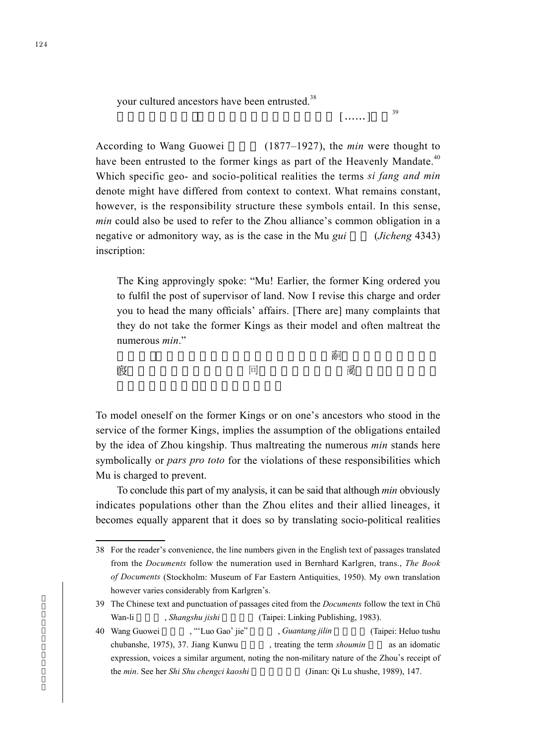your cultured ancestors have been entrusted.<sup>38</sup>

```
\lceil ......] ^{39}
```
According to Wang Guowei (1877–1927), the *min* were thought to have been entrusted to the former kings as part of the Heavenly Mandate.<sup>40</sup> Which specific geo- and socio-political realities the terms *si fang and min*  denote might have differed from context to context. What remains constant, however, is the responsibility structure these symbols entail. In this sense, *min* could also be used to refer to the Zhou alliance's common obligation in a negative or admonitory way, as is the case in the Mu *gui* (*Jicheng* 4343) inscription:

The King approvingly spoke: "Mu! Earlier, the former King ordered you to fulfil the post of supervisor of land. Now I revise this charge and order you to head the many officials' affairs. [There are] many complaints that they do not take the former Kings as their model and often maltreat the numerous *min*."

王若曰:「牧,昔先王既令女(汝)乍(作) (司)士。今余唯或 改,令女(汝)辟百寮有冋(司)事,多 (辭),不用先王

To model oneself on the former Kings or on one's ancestors who stood in the service of the former Kings, implies the assumption of the obligations entailed by the idea of Zhou kingship. Thus maltreating the numerous *min* stands here symbolically or *pars pro toto* for the violations of these responsibilities which Mu is charged to prevent.

To conclude this part of my analysis, it can be said that although *min* obviously indicates populations other than the Zhou elites and their allied lineages, it becomes equally apparent that it does so by translating socio-political realities

<sup>38</sup> For the reader's convenience, the line numbers given in the English text of passages translated from the *Documents* follow the numeration used in Bernhard Karlgren, trans., *The Book of Documents* (Stockholm: Museum of Far Eastern Antiquities, 1950). My own translation however varies considerably from Karlgren's.

<sup>39</sup> The Chinese text and punctuation of passages cited from the *Documents* follow the text in Chü Wan-li , *Shangshu jishi* (Taipei: Linking Publishing, 1983).

<sup>40</sup> Wang Guowei , "'Luo Gao' jie" , *Guantang jilin* (Taipei: Heluo tushu chubanshe, 1975), 37. Jiang Kunwu , treating the term *shoumin* as an idomatic expression, voices a similar argument, noting the non-military nature of the Zhou's receipt of the *min*. See her *Shi Shu chengci kaoshi* (Jinan: Qi Lu shushe, 1989), 147.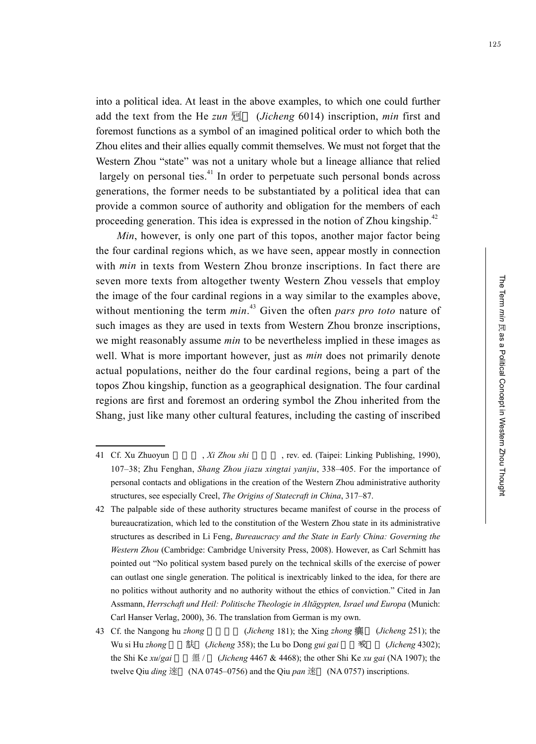into a political idea. At least in the above examples, to which one could further add the text from the He  $zun \mathcal{H}$  (*Jicheng* 6014) inscription, *min* first and foremost functions as a symbol of an imagined political order to which both the Zhou elites and their allies equally commit themselves. We must not forget that the Western Zhou "state" was not a unitary whole but a lineage alliance that relied largely on personal ties.<sup> $41$ </sup> In order to perpetuate such personal bonds across generations, the former needs to be substantiated by a political idea that can provide a common source of authority and obligation for the members of each proceeding generation. This idea is expressed in the notion of Zhou kingship.<sup>42</sup>

*Min*, however, is only one part of this topos, another major factor being the four cardinal regions which, as we have seen, appear mostly in connection with *min* in texts from Western Zhou bronze inscriptions. In fact there are seven more texts from altogether twenty Western Zhou vessels that employ the image of the four cardinal regions in a way similar to the examples above, without mentioning the term *min*. 43 Given the often *pars pro toto* nature of such images as they are used in texts from Western Zhou bronze inscriptions, we might reasonably assume *min* to be nevertheless implied in these images as well. What is more important however, just as *min* does not primarily denote actual populations, neither do the four cardinal regions, being a part of the topos Zhou kingship, function as a geographical designation. The four cardinal regions are first and foremost an ordering symbol the Zhou inherited from the Shang, just like many other cultural features, including the casting of inscribed

<sup>41</sup> Cf. Xu Zhuoyun , *Xi Zhou shi* , rev. ed. (Taipei: Linking Publishing, 1990), 107–38; Zhu Fenghan, *Shang Zhou jiazu xingtai yanjiu*, 338–405. For the importance of personal contacts and obligations in the creation of the Western Zhou administrative authority structures, see especially Creel, *The Origins of Statecraft in China*, 317–87.

<sup>42</sup> The palpable side of these authority structures became manifest of course in the process of bureaucratization, which led to the constitution of the Western Zhou state in its administrative structures as described in Li Feng, *Bureaucracy and the State in Early China: Governing the Western Zhou* (Cambridge: Cambridge University Press, 2008). However, as Carl Schmitt has pointed out "No political system based purely on the technical skills of the exercise of power can outlast one single generation. The political is inextricably linked to the idea, for there are no politics without authority and no authority without the ethics of conviction." Cited in Jan Assmann, *Herrschaft und Heil: Politische Theologie in Altägypten, Israel und Europa* (Munich: Carl Hanser Verlag, 2000), 36. The translation from German is my own.

<sup>43</sup> Cf. the Nangong hu *zhong* (*Jicheng* 181); the Xing *zhong* 癲 (*Jicheng* 251); the Wu si Hu *zhong* 五祀 (*Jicheng* 358); the Lu bo Dong *gui gai* 彔伯 簋蓋 (*Jicheng* 4302); the Shi Ke *xu*/*gai* 師克盨 / (*Jicheng* 4467 & 4468); the other Shi Ke *xu gai* (NA 1907); the twelve Qiu *ding* 逨 (NA 0745–0756) and the Qiu *pan* 逨 (NA 0757) inscriptions.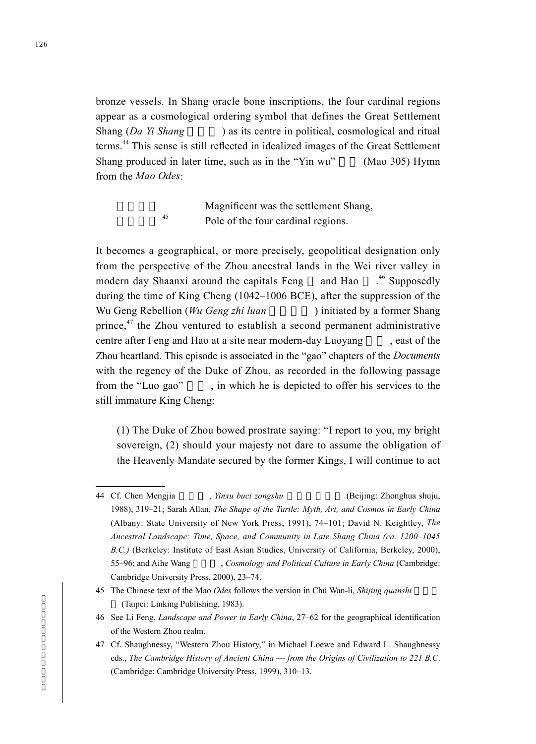bronze vessels. In Shang oracle bone inscriptions, the four cardinal regions appear as a cosmological ordering symbol that defines the Great Settlement Shang (*Da Yi Shang* ) as its centre in political, cosmological and ritual terms.<sup>44</sup> This sense is still reflected in idealized images of the Great Settlement Shang produced in later time, such as in the "Yin wu" (Mao 305) Hymn from the *Mao Odes*:

> Magnificent was the settlement Shang, Pole of the four cardinal regions.

It becomes a geographical, or more precisely, geopolitical designation only from the perspective of the Zhou ancestral lands in the Wei river valley in modern day Shaanxi around the capitals Feng and Hao  $^{46}$  Supposedly during the time of King Cheng (1042–1006 BCE), after the suppression of the Wu Geng Rebellion (*Wu Geng zhi luan*) initiated by a former Shang prince,<sup>47</sup> the Zhou ventured to establish a second permanent administrative centre after Feng and Hao at a site near modern-day Luoyang seast of the Zhou heartland. This episode is associated in the "gao" chapters of the *Documents* with the regency of the Duke of Zhou, as recorded in the following passage from the "Luo gao", in which he is depicted to offer his services to the still immature King Cheng:

(1) The Duke of Zhou bowed prostrate saying: "I report to you, my bright sovereign, (2) should your majesty not dare to assume the obligation of the Heavenly Mandate secured by the former Kings, I will continue to act

<sup>44</sup> Cf. Chen Mengjia , *Yinxu buci zongshu* (Beijing: Zhonghua shuju, 1988), 319–21; Sarah Allan, *The Shape of the Turtle: Myth, Art, and Cosmos in Early China* (Albany: State University of New York Press, 1991), 74–101; David N. Keightley, *The Ancestral Landscape: Time, Space, and Community in Late Shang China (ca. 1200–1045 B.C.)* (Berkeley: Institute of East Asian Studies, University of California, Berkeley, 2000), 55–96; and Aihe Wang Cosmology and Political Culture in Early China (Cambridge: Cambridge University Press, 2000), 23–74.

<sup>45</sup> The Chinese text of the Mao *Odes* follows the version in Chü Wan-li, *Shijing quanshi* (Taipei: Linking Publishing, 1983).

<sup>46</sup> See Li Feng, *Landscape and Power in Early China*, 27–62 for the geographical identification of the Western Zhou realm.

<sup>47</sup> Cf. Shaughnessy, "Western Zhou History," in Michael Loewe and Edward L. Shaughnessy eds., *The Cambridge History of Ancient China* — *from the Origins of Civilization to 221 B.C*. (Cambridge: Cambridge University Press, 1999), 310–13.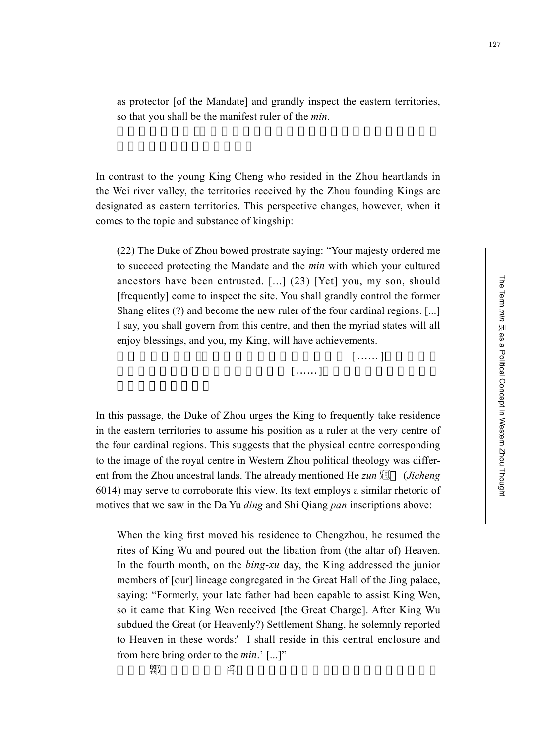as protector [of the Mandate] and grandly inspect the eastern territories, so that you shall be the manifest ruler of the *min*.

In contrast to the young King Cheng who resided in the Zhou heartlands in the Wei river valley, the territories received by the Zhou founding Kings are designated as eastern territories. This perspective changes, however, when it comes to the topic and substance of kingship:

(22) The Duke of Zhou bowed prostrate saying: "Your majesty ordered me to succeed protecting the Mandate and the *min* with which your cultured ancestors have been entrusted. [...] (23) [Yet] you, my son, should [frequently] come to inspect the site. You shall grandly control the former Shang elites (?) and become the new ruler of the four cardinal regions. [...] I say, you shall govern from this centre, and then the myriad states will all enjoy blessings, and you, my King, will have achievements.

 $\lbrack$  …… ]  $\lbrack$  …… ] 宅,其大惇典殷獻民,亂為四方新辟 [……]。曰其自時中乂,萬邦咸

In this passage, the Duke of Zhou urges the King to frequently take residence in the eastern territories to assume his position as a ruler at the very centre of the four cardinal regions. This suggests that the physical centre corresponding to the image of the royal centre in Western Zhou political theology was different from the Zhou ancestral lands. The already mentioned He *zun* 迥 (*Jicheng* 6014) may serve to corroborate this view. Its text employs a similar rhetoric of motives that we saw in the Da Yu *ding* and Shi Qiang *pan* inscriptions above:

When the king first moved his residence to Chengzhou, he resumed the rites of King Wu and poured out the libation from (the altar of) Heaven. In the fourth month, on the *bing-xu* day, the King addressed the junior members of [our] lineage congregated in the Great Hall of the Jing palace, saying: "Formerly, your late father had been capable to assist King Wen, so it came that King Wen received [the Great Charge]. After King Wu subdued the Great (or Heavenly?) Settlement Shang, he solemnly reported to Heaven in these words: 'I shall reside in this central enclosure and from here bring order to the *min*.' [...]"

もちゃくられる。<br>それは、王明の子には、王明の子には、王明の子には、王明の子には、王明の子には、王明の子には、王明の子には、王明の子には、王明の子には、王明の子には、王明の子には、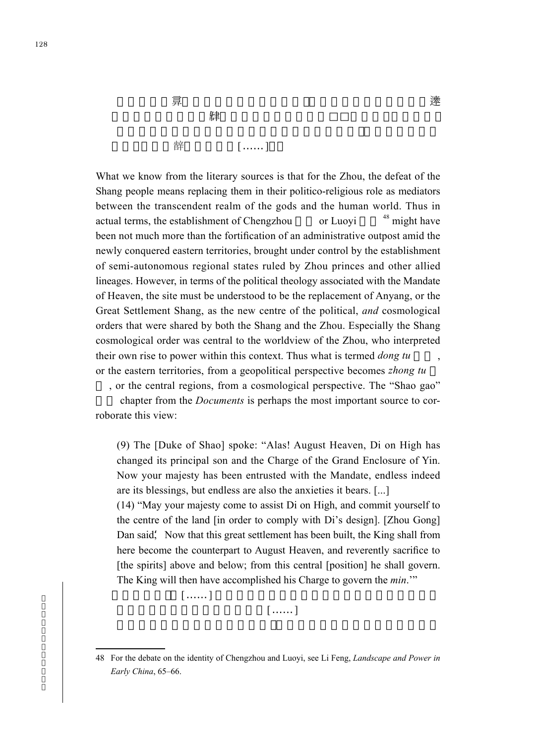日<mark>東</mark>市、王 (吉子)宗、王 (吉子)宗、王 (吉子)宗、王 (吉子)宗、王 (吉子)宗、王 (吉子)宗、王 (吉子)宗、王 (吉子)宗、王 (吉子)宗、王 (吉子)宗、王 (吉子)宗、王 (吉子)宗、王 (吉子)宗、王 (吉子)宗、王 (吉子)宗、王 (吉子)宗、王 (吉子)宗、王 (吉子)宗、王 (吉子)宗、王 (吉子)宗、王 (吉子)宗、王 (吉子)宗、王 (吉子)宗、王 (吉子)宗、王 (吉子)宗、王 (吉子)宗、王 (吉子)  $\binom{3}{2}$  天, (注) 工人, (注) 工人, (注) 工人, (注) 工人, (注) 許 [……]

What we know from the literary sources is that for the Zhou, the defeat of the Shang people means replacing them in their politico-religious role as mediators between the transcendent realm of the gods and the human world. Thus in actual terms, the establishment of Chengzhou or Luoyi  $48$  might have been not much more than the fortification of an administrative outpost amid the newly conquered eastern territories, brought under control by the establishment of semi-autonomous regional states ruled by Zhou princes and other allied lineages. However, in terms of the political theology associated with the Mandate of Heaven, the site must be understood to be the replacement of Anyang, or the Great Settlement Shang, as the new centre of the political, *and* cosmological orders that were shared by both the Shang and the Zhou. Especially the Shang cosmological order was central to the worldview of the Zhou, who interpreted their own rise to power within this context. Thus what is termed *dong tu* or the eastern territories, from a geopolitical perspective becomes *zhong tu*

, or the central regions, from a cosmological perspective. The "Shao gao" 召誥 chapter from the *Documents* is perhaps the most important source to cor-

roborate this view:

(9) The [Duke of Shao] spoke: "Alas! August Heaven, Di on High has changed its principal son and the Charge of the Grand Enclosure of Yin. Now your majesty has been entrusted with the Mandate, endless indeed are its blessings, but endless are also the anxieties it bears. [...]

(14) "May your majesty come to assist Di on High, and commit yourself to the centre of the land [in order to comply with Di's design]. [Zhou Gong] Dan said, Now that this great settlement has been built, the King shall from here become the counterpart to August Heaven, and reverently sacrifice to [the spirits] above and below; from this central [position] he shall govern. The King will then have accomplished his Charge to govern the *min*.'"

 $[......]$ 

 $[$  ......]

<sup>48</sup> For the debate on the identity of Chengzhou and Luoyi, see Li Feng, *Landscape and Power in Early China*, 65–66.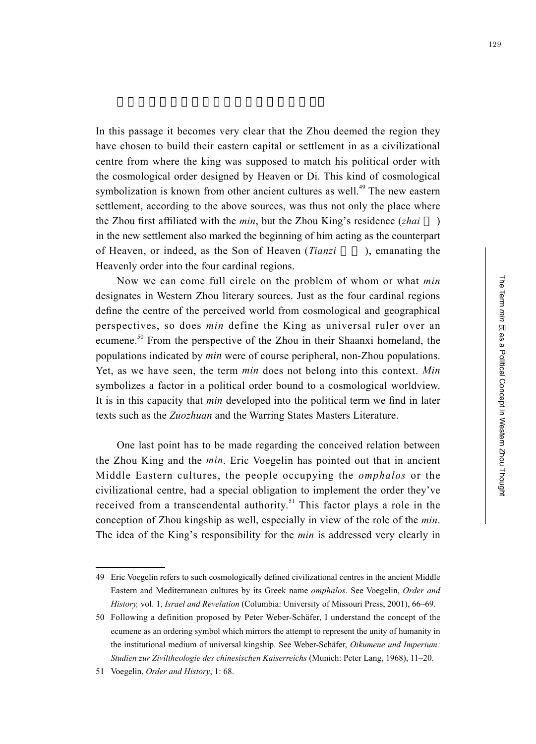In this passage it becomes very clear that the Zhou deemed the region they have chosen to build their eastern capital or settlement in as a civilizational centre from where the king was supposed to match his political order with the cosmological order designed by Heaven or Di. This kind of cosmological symbolization is known from other ancient cultures as well.<sup>49</sup> The new eastern settlement, according to the above sources, was thus not only the place where the Zhou first affiliated with the *min*, but the Zhou King's residence (*zhai* ) in the new settlement also marked the beginning of him acting as the counterpart of Heaven, or indeed, as the Son of Heaven (*Tianzi* ), emanating the Heavenly order into the four cardinal regions.

Now we can come full circle on the problem of whom or what *min* designates in Western Zhou literary sources. Just as the four cardinal regions define the centre of the perceived world from cosmological and geographical perspectives, so does *min* define the King as universal ruler over an ecumene.<sup>50</sup> From the perspective of the Zhou in their Shaanxi homeland, the populations indicated by *min* were of course peripheral, non-Zhou populations. Yet, as we have seen, the term *min* does not belong into this context. *Min* symbolizes a factor in a political order bound to a cosmological worldview. It is in this capacity that *min* developed into the political term we find in later texts such as the *Zuozhuan* and the Warring States Masters Literature.

One last point has to be made regarding the conceived relation between the Zhou King and the *min*. Eric Voegelin has pointed out that in ancient Middle Eastern cultures, the people occupying the *omphalos* or the civilizational centre, had a special obligation to implement the order they've received from a transcendental authority.<sup>51</sup> This factor plays a role in the conception of Zhou kingship as well, especially in view of the role of the *min*. The idea of the King's responsibility for the *min* is addressed very clearly in

<sup>49</sup> Eric Voegelin refers to such cosmologically defined civilizational centres in the ancient Middle Eastern and Mediterranean cultures by its Greek name *omphalos*. See Voegelin, *Order and History,* vol. 1, *Israel and Revelation* (Columbia: University of Missouri Press, 2001), 66–69.

<sup>50</sup> Following a definition proposed by Peter Weber-Schäfer, I understand the concept of the ecumene as an ordering symbol which mirrors the attempt to represent the unity of humanity in the institutional medium of universal kingship. See Weber-Schäfer, *Oikumene und Imperium: Studien zur Ziviltheologie des chinesischen Kaiserreichs* (Munich: Peter Lang, 1968), 11–20.

<sup>51</sup> Voegelin, *Order and History*, 1: 68.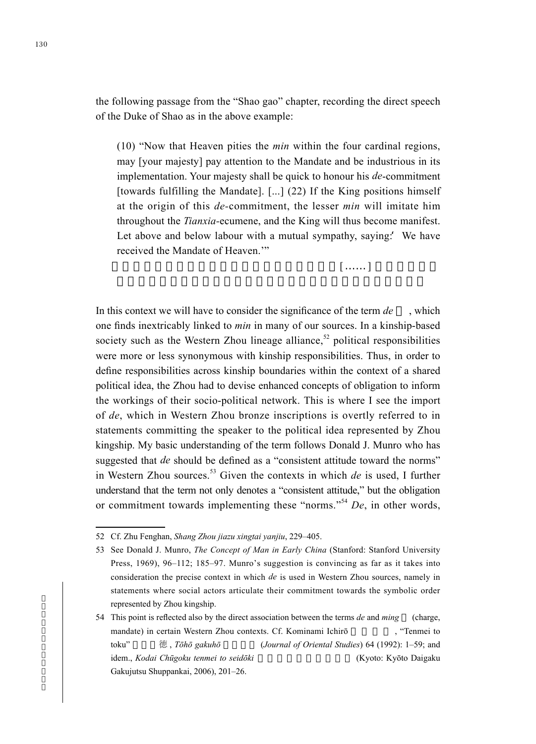the following passage from the "Shao gao" chapter, recording the direct speech of the Duke of Shao as in the above example:

(10) "Now that Heaven pities the *min* within the four cardinal regions, may [your majesty] pay attention to the Mandate and be industrious in its implementation. Your majesty shall be quick to honour his *de*-commitment [towards fulfilling the Mandate]. [...] (22) If the King positions himself at the origin of this *de-*commitment, the lesser *min* will imitate him throughout the *Tianxia-*ecumene, and the King will thus become manifest. Let above and below labour with a mutual sympathy, saying: We have received the Mandate of Heaven.'"

 $\lbrack ,\ldots,\lbrack ,\ldots,\lbrack ,\ldots,\lbrack ,\ldots,\lbrack ,\ldots,\lbrack ,\lbrack ,\ldots,\lbrack ,\lbrack ,\ldots,\lbrack ,\lbrack ,\ldots,\lbrack ,\lbrack ,\ldots,\lbrack ,\lbrack ,\ldots,\lbrack ,\lbrack ,\ldots,\lbrack ,\lbrack ,\ldots,\lbrack ,\lbrack ,\lbrack ,\ldots,\lbrack ,\lbrack ,\lbrack ,\ldots,\lbrack ,\lbrack ,\lbrack ,\ldots,\lbrack ,\lbrack ,\lbrack ,\ldots,\lbrack ,\lbrack ,\lbrack ,\ld$ 

In this context we will have to consider the significance of the term *de* , which one finds inextricably linked to *min* in many of our sources. In a kinship-based society such as the Western Zhou lineage alliance,<sup>52</sup> political responsibilities were more or less synonymous with kinship responsibilities. Thus, in order to define responsibilities across kinship boundaries within the context of a shared political idea, the Zhou had to devise enhanced concepts of obligation to inform the workings of their socio-political network. This is where I see the import of *de*, which in Western Zhou bronze inscriptions is overtly referred to in statements committing the speaker to the political idea represented by Zhou kingship. My basic understanding of the term follows Donald J. Munro who has suggested that *de* should be defined as a "consistent attitude toward the norms" in Western Zhou sources.53 Given the contexts in which *de* is used, I further understand that the term not only denotes a "consistent attitude," but the obligation or commitment towards implementing these "norms." <sup>54</sup> *De*, in other words,

<sup>52</sup> Cf. Zhu Fenghan, *Shang Zhou jiazu xingtai yanjiu*, 229–405.

<sup>53</sup> See Donald J. Munro, *The Concept of Man in Early China* (Stanford: Stanford University Press, 1969), 96–112; 185–97. Munro's suggestion is convincing as far as it takes into consideration the precise context in which *de* is used in Western Zhou sources, namely in statements where social actors articulate their commitment towards the symbolic order represented by Zhou kingship.

<sup>54</sup> This point is reflected also by the direct association between the terms *de* and *ming* (charge, mandate) in certain Western Zhou contexts. Cf. Kominami Ichirō , "Tenmei to toku" 徳 , *Tōhō gakuhō* (*Journal of Oriental Studies*) 64 (1992): 1–59; and idem., *Kodai Chūgoku tenmei to seidōki* and the seidoki (Kyoto: Kyōto Daigaku Gakujutsu Shuppankai, 2006), 201–26.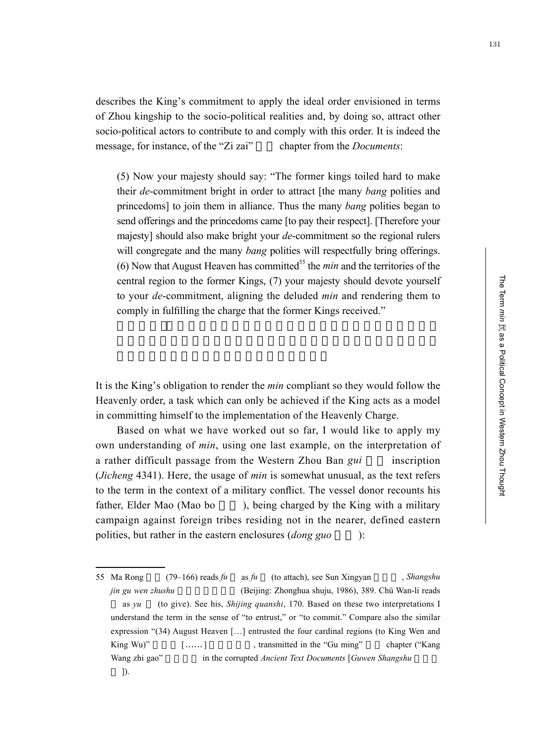describes the King's commitment to apply the ideal order envisioned in terms of Zhou kingship to the socio-political realities and, by doing so, attract other socio-political actors to contribute to and comply with this order. It is indeed the message, for instance, of the "Zi zai" chapter from the *Documents*:

(5) Now your majesty should say: "The former kings toiled hard to make their *de*-commitment bright in order to attract [the many *bang* polities and princedoms] to join them in alliance. Thus the many *bang* polities began to send offerings and the princedoms came [to pay their respect]. [Therefore your majesty] should also make bright your *de*-commitment so the regional rulers will congregate and the many *bang* polities will respectfully bring offerings. (6) Now that August Heaven has committed<sup>55</sup> the *min* and the territories of the central region to the former Kings, (7) your majesty should devote yourself to your *de*-commitment, aligning the deluded *min* and rendering them to comply in fulfilling the charge that the former Kings received."

It is the King's obligation to render the *min* compliant so they would follow the Heavenly order, a task which can only be achieved if the King acts as a model in committing himself to the implementation of the Heavenly Charge.

Based on what we have worked out so far, I would like to apply my own understanding of *min*, using one last example, on the interpretation of a rather difficult passage from the Western Zhou Ban *gui* inscription (*Jicheng* 4341). Here, the usage of *min* is somewhat unusual, as the text refers to the term in the context of a military conflict. The vessel donor recounts his father, Elder Mao (Mao bo ), being charged by the King with a military campaign against foreign tribes residing not in the nearer, defined eastern polities, but rather in the eastern enclosures (*dong guo* ):

<sup>55</sup> Ma Rong (79–166) reads *fu* as *fu* (to attach), see Sun Xingyan , *Shangshu jin gu wen zhushu* (Beijing: Zhonghua shuju, 1986), 389. Chü Wan-li reads as *yu* (to give). See his, *Shijing quanshi*, 170. Based on these two interpretations I understand the term in the sense of "to entrust," or "to commit." Compare also the similar expression "(34) August Heaven […] entrusted the four cardinal regions (to King Wen and King Wu)" [......] transmitted in the "Gu ming" chapter ("Kang Wang zhi gao" in the corrupted *Ancient Text Documents* [*Guwen Shangshu* ]).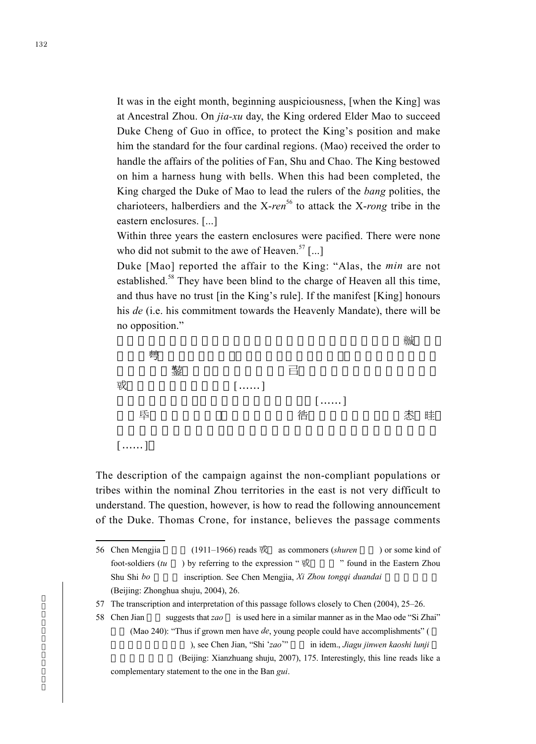It was in the eight month, beginning auspiciousness, [when the King] was at Ancestral Zhou. On *jia-xu* day, the King ordered Elder Mao to succeed Duke Cheng of Guo in office, to protect the King's position and make him the standard for the four cardinal regions. (Mao) received the order to handle the affairs of the polities of Fan, Shu and Chao. The King bestowed on him a harness hung with bells. When this had been completed, the King charged the Duke of Mao to lead the rulers of the *bang* polities, the charioteers, halberdiers and the X-*ren*<sup>56</sup> to attack the X-*rong* tribe in the eastern enclosures. [...]

Within three years the eastern enclosures were pacified. There were none who did not submit to the awe of Heaven.<sup>57</sup> [...]

Duke [Mao] reported the affair to the King: "Alas, the *min* are not established.<sup>58</sup> They have been blind to the charge of Heaven all this time, and thus have no trust [in the King's rule]. If the manifest [King] honours his *de* (i.e. his commitment towards the Heavenly Mandate), there will be no opposition."



The description of the campaign against the non-compliant populations or tribes within the nominal Zhou territories in the east is not very difficult to understand. The question, however, is how to read the following announcement of the Duke. Thomas Crone, for instance, believes the passage comments

<sup>56</sup> Chen Mengjia (1911–1966) reads 或 as commoners (*shuren* ) or some kind of foot-soldiers  $(tu)$  by referring to the expression "  $\overrightarrow{xy}$  " found in the Eastern Zhou Shu Shi *bo* inscription. See Chen Mengjia, *Xi Zhou tongqi duandai* (Beijing: Zhonghua shuju, 2004), 26.

<sup>57</sup> The transcription and interpretation of this passage follows closely to Chen (2004), 25–26.

<sup>58</sup> Chen Jian suggests that *zao* is used here in a similar manner as in the Mao ode "Si Zhai" (Mao 240): "Thus if grown men have *de*, young people could have accomplishments" ( ), see Chen Jian, "Shi '*zao*" in idem., *Jiagu jinwen kaoshi lunji* (Beijing: Xianzhuang shuju, 2007), 175. Interestingly, this line reads like a complementary statement to the one in the Ban *gui*.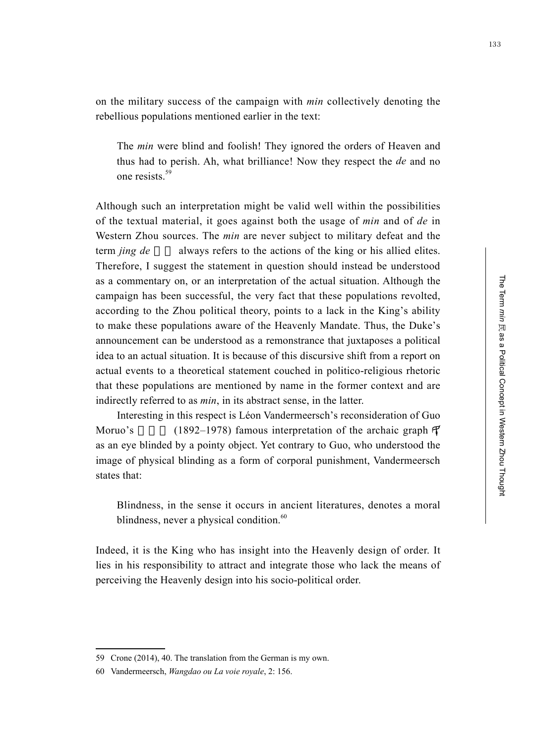on the military success of the campaign with *min* collectively denoting the rebellious populations mentioned earlier in the text:

The *min* were blind and foolish! They ignored the orders of Heaven and thus had to perish. Ah, what brilliance! Now they respect the *de* and no one resists.<sup>59</sup>

Although such an interpretation might be valid well within the possibilities of the textual material, it goes against both the usage of *min* and of *de* in Western Zhou sources. The *min* are never subject to military defeat and the term *jing de* always refers to the actions of the king or his allied elites. Therefore, I suggest the statement in question should instead be understood as a commentary on, or an interpretation of the actual situation. Although the campaign has been successful, the very fact that these populations revolted, according to the Zhou political theory, points to a lack in the King's ability to make these populations aware of the Heavenly Mandate. Thus, the Duke's announcement can be understood as a remonstrance that juxtaposes a political idea to an actual situation. It is because of this discursive shift from a report on actual events to a theoretical statement couched in politico-religious rhetoric that these populations are mentioned by name in the former context and are indirectly referred to as *min*, in its abstract sense, in the latter.

Interesting in this respect is Léon Vandermeersch's reconsideration of Guo Moruo's (1892–1978) famous interpretation of the archaic graph  $\mathcal{F}$ as an eye blinded by a pointy object. Yet contrary to Guo, who understood the image of physical blinding as a form of corporal punishment, Vandermeersch states that:

Blindness, in the sense it occurs in ancient literatures, denotes a moral blindness, never a physical condition. $60$ 

Indeed, it is the King who has insight into the Heavenly design of order. It lies in his responsibility to attract and integrate those who lack the means of perceiving the Heavenly design into his socio-political order.

<sup>59</sup> Crone (2014), 40. The translation from the German is my own.

<sup>60</sup> Vandermeersch, *Wangdao ou La voie royale*, 2: 156.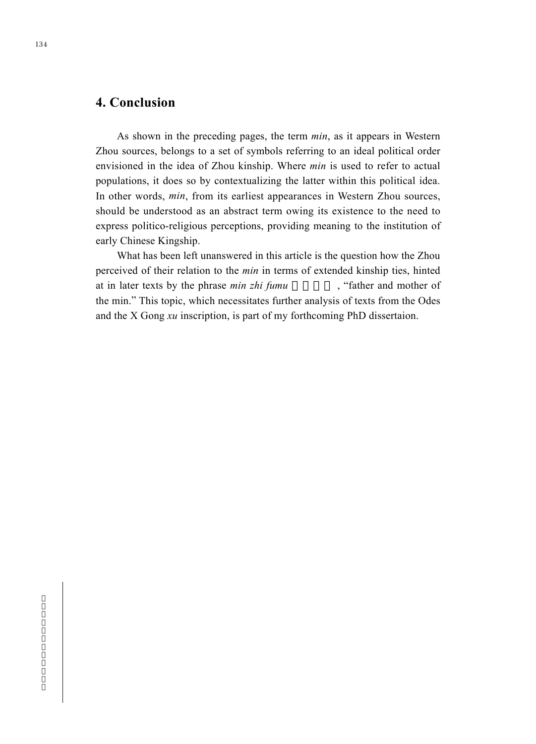### **4. Conclusion**

As shown in the preceding pages, the term *min*, as it appears in Western Zhou sources, belongs to a set of symbols referring to an ideal political order envisioned in the idea of Zhou kinship. Where *min* is used to refer to actual populations, it does so by contextualizing the latter within this political idea. In other words, *min*, from its earliest appearances in Western Zhou sources, should be understood as an abstract term owing its existence to the need to express politico-religious perceptions, providing meaning to the institution of early Chinese Kingship.

What has been left unanswered in this article is the question how the Zhou perceived of their relation to the *min* in terms of extended kinship ties, hinted at in later texts by the phrase *min zhi fumu*, "father and mother of the min." This topic, which necessitates further analysis of texts from the Odes and the X Gong *xu* inscription, is part of my forthcoming PhD dissertaion.